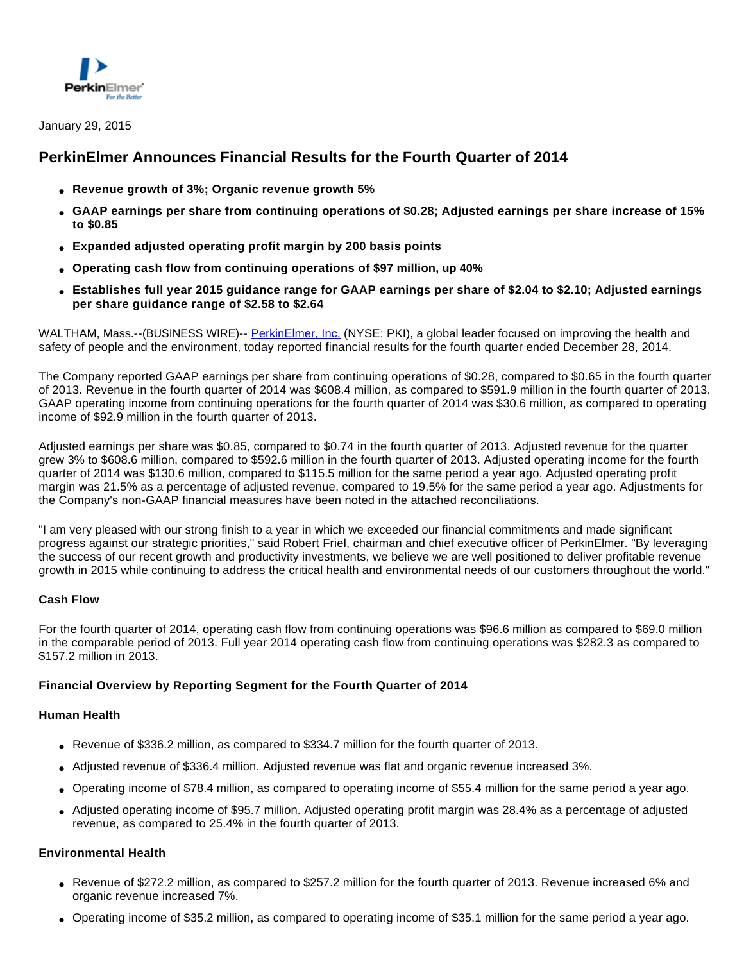

## **PerkinElmer Announces Financial Results for the Fourth Quarter of 2014**

- **Revenue growth of 3%; Organic revenue growth 5%**
- **GAAP earnings per share from continuing operations of \$0.28; Adjusted earnings per share increase of 15% to \$0.85**
- **Expanded adjusted operating profit margin by 200 basis points**
- **Operating cash flow from continuing operations of \$97 million, up 40%**
- **Establishes full year 2015 guidance range for GAAP earnings per share of \$2.04 to \$2.10; Adjusted earnings per share guidance range of \$2.58 to \$2.64**

WALTHAM, Mass.--(BUSINESS WIRE)-- [PerkinElmer, Inc.](http://cts.businesswire.com/ct/CT?id=smartlink&url=http%3A%2F%2Fwww.perkinelmer.com&esheet=51026641&newsitemid=20150129006460&lan=en-US&anchor=PerkinElmer%2C+Inc.&index=1&md5=46cb238a38bf92104643d596407e998d) (NYSE: PKI), a global leader focused on improving the health and safety of people and the environment, today reported financial results for the fourth quarter ended December 28, 2014.

The Company reported GAAP earnings per share from continuing operations of \$0.28, compared to \$0.65 in the fourth quarter of 2013. Revenue in the fourth quarter of 2014 was \$608.4 million, as compared to \$591.9 million in the fourth quarter of 2013. GAAP operating income from continuing operations for the fourth quarter of 2014 was \$30.6 million, as compared to operating income of \$92.9 million in the fourth quarter of 2013.

Adjusted earnings per share was \$0.85, compared to \$0.74 in the fourth quarter of 2013. Adjusted revenue for the quarter grew 3% to \$608.6 million, compared to \$592.6 million in the fourth quarter of 2013. Adjusted operating income for the fourth quarter of 2014 was \$130.6 million, compared to \$115.5 million for the same period a year ago. Adjusted operating profit margin was 21.5% as a percentage of adjusted revenue, compared to 19.5% for the same period a year ago. Adjustments for the Company's non-GAAP financial measures have been noted in the attached reconciliations.

"I am very pleased with our strong finish to a year in which we exceeded our financial commitments and made significant progress against our strategic priorities," said Robert Friel, chairman and chief executive officer of PerkinElmer. "By leveraging the success of our recent growth and productivity investments, we believe we are well positioned to deliver profitable revenue growth in 2015 while continuing to address the critical health and environmental needs of our customers throughout the world."

### **Cash Flow**

For the fourth quarter of 2014, operating cash flow from continuing operations was \$96.6 million as compared to \$69.0 million in the comparable period of 2013. Full year 2014 operating cash flow from continuing operations was \$282.3 as compared to \$157.2 million in 2013.

### **Financial Overview by Reporting Segment for the Fourth Quarter of 2014**

### **Human Health**

- Revenue of \$336.2 million, as compared to \$334.7 million for the fourth quarter of 2013.
- Adjusted revenue of \$336.4 million. Adjusted revenue was flat and organic revenue increased 3%.
- Operating income of \$78.4 million, as compared to operating income of \$55.4 million for the same period a year ago.
- Adjusted operating income of \$95.7 million. Adjusted operating profit margin was 28.4% as a percentage of adjusted revenue, as compared to 25.4% in the fourth quarter of 2013.

### **Environmental Health**

- Revenue of \$272.2 million, as compared to \$257.2 million for the fourth quarter of 2013. Revenue increased 6% and organic revenue increased 7%.
- $\bullet$  Operating income of \$35.2 million, as compared to operating income of \$35.1 million for the same period a year ago.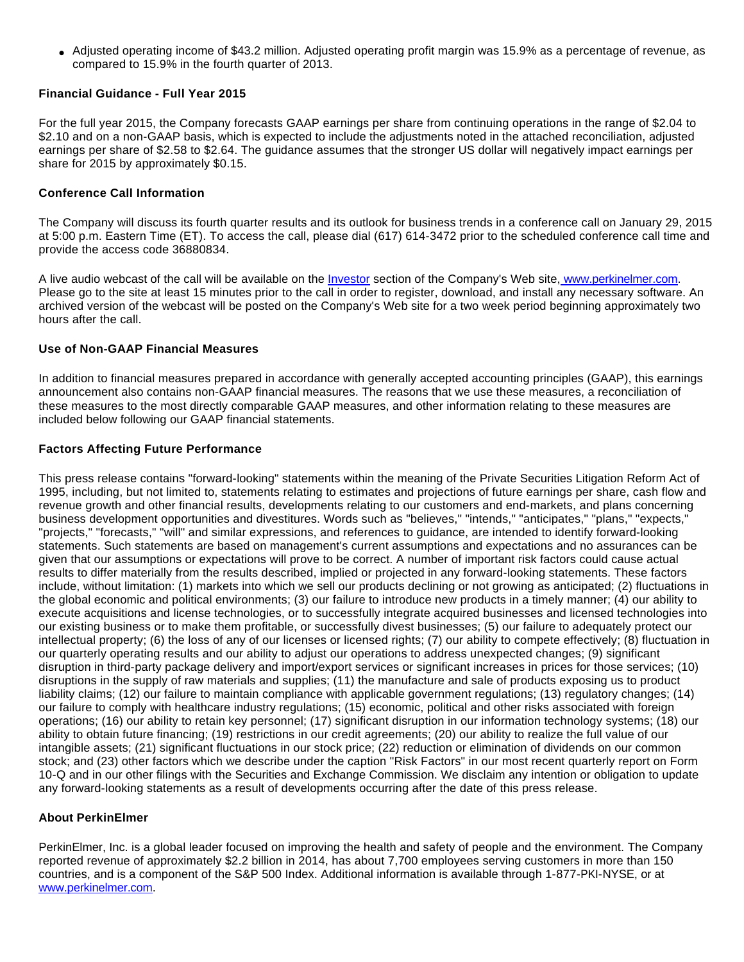• Adjusted operating income of \$43.2 million. Adjusted operating profit margin was 15.9% as a percentage of revenue, as compared to 15.9% in the fourth quarter of 2013.

## **Financial Guidance - Full Year 2015**

For the full year 2015, the Company forecasts GAAP earnings per share from continuing operations in the range of \$2.04 to \$2.10 and on a non-GAAP basis, which is expected to include the adjustments noted in the attached reconciliation, adjusted earnings per share of \$2.58 to \$2.64. The guidance assumes that the stronger US dollar will negatively impact earnings per share for 2015 by approximately \$0.15.

## **Conference Call Information**

The Company will discuss its fourth quarter results and its outlook for business trends in a conference call on January 29, 2015 at 5:00 p.m. Eastern Time (ET). To access the call, please dial (617) 614-3472 prior to the scheduled conference call time and provide the access code 36880834.

A live audio webcast of the call will be available on the [Investor](http://cts.businesswire.com/ct/CT?id=smartlink&url=http%3A%2F%2Fwww.perkinelmer.com%2Fcorporate%2Finvestors%2F&esheet=51026641&newsitemid=20150129006460&lan=en-US&anchor=Investor&index=2&md5=11d6dc708ea4d8a01cdb72840bc7460c) section of the Company's Web site[, www.perkinelmer.com.](http://cts.businesswire.com/ct/CT?id=smartlink&url=http%3A%2F%2Fwww.perkinelmer.com&esheet=51026641&newsitemid=20150129006460&lan=en-US&anchor=+www.perkinelmer.com&index=3&md5=b089674e15e1bc5e1da85dcb96a64b5d) Please go to the site at least 15 minutes prior to the call in order to register, download, and install any necessary software. An archived version of the webcast will be posted on the Company's Web site for a two week period beginning approximately two hours after the call.

### **Use of Non-GAAP Financial Measures**

In addition to financial measures prepared in accordance with generally accepted accounting principles (GAAP), this earnings announcement also contains non-GAAP financial measures. The reasons that we use these measures, a reconciliation of these measures to the most directly comparable GAAP measures, and other information relating to these measures are included below following our GAAP financial statements.

## **Factors Affecting Future Performance**

This press release contains "forward-looking" statements within the meaning of the Private Securities Litigation Reform Act of 1995, including, but not limited to, statements relating to estimates and projections of future earnings per share, cash flow and revenue growth and other financial results, developments relating to our customers and end-markets, and plans concerning business development opportunities and divestitures. Words such as "believes," "intends," "anticipates," "plans," "expects," "projects," "forecasts," "will" and similar expressions, and references to guidance, are intended to identify forward-looking statements. Such statements are based on management's current assumptions and expectations and no assurances can be given that our assumptions or expectations will prove to be correct. A number of important risk factors could cause actual results to differ materially from the results described, implied or projected in any forward-looking statements. These factors include, without limitation: (1) markets into which we sell our products declining or not growing as anticipated; (2) fluctuations in the global economic and political environments; (3) our failure to introduce new products in a timely manner; (4) our ability to execute acquisitions and license technologies, or to successfully integrate acquired businesses and licensed technologies into our existing business or to make them profitable, or successfully divest businesses; (5) our failure to adequately protect our intellectual property; (6) the loss of any of our licenses or licensed rights; (7) our ability to compete effectively; (8) fluctuation in our quarterly operating results and our ability to adjust our operations to address unexpected changes; (9) significant disruption in third-party package delivery and import/export services or significant increases in prices for those services; (10) disruptions in the supply of raw materials and supplies; (11) the manufacture and sale of products exposing us to product liability claims; (12) our failure to maintain compliance with applicable government regulations; (13) regulatory changes; (14) our failure to comply with healthcare industry regulations; (15) economic, political and other risks associated with foreign operations; (16) our ability to retain key personnel; (17) significant disruption in our information technology systems; (18) our ability to obtain future financing; (19) restrictions in our credit agreements; (20) our ability to realize the full value of our intangible assets; (21) significant fluctuations in our stock price; (22) reduction or elimination of dividends on our common stock; and (23) other factors which we describe under the caption "Risk Factors" in our most recent quarterly report on Form 10-Q and in our other filings with the Securities and Exchange Commission. We disclaim any intention or obligation to update any forward-looking statements as a result of developments occurring after the date of this press release.

### **About PerkinElmer**

PerkinElmer, Inc. is a global leader focused on improving the health and safety of people and the environment. The Company reported revenue of approximately \$2.2 billion in 2014, has about 7,700 employees serving customers in more than 150 countries, and is a component of the S&P 500 Index. Additional information is available through 1-877-PKI-NYSE, or at [www.perkinelmer.com.](http://cts.businesswire.com/ct/CT?id=smartlink&url=http%3A%2F%2Fwww.perkinelmer.com&esheet=51026641&newsitemid=20150129006460&lan=en-US&anchor=www.perkinelmer.com&index=4&md5=8908a7e85407384f6da2d849071d262d)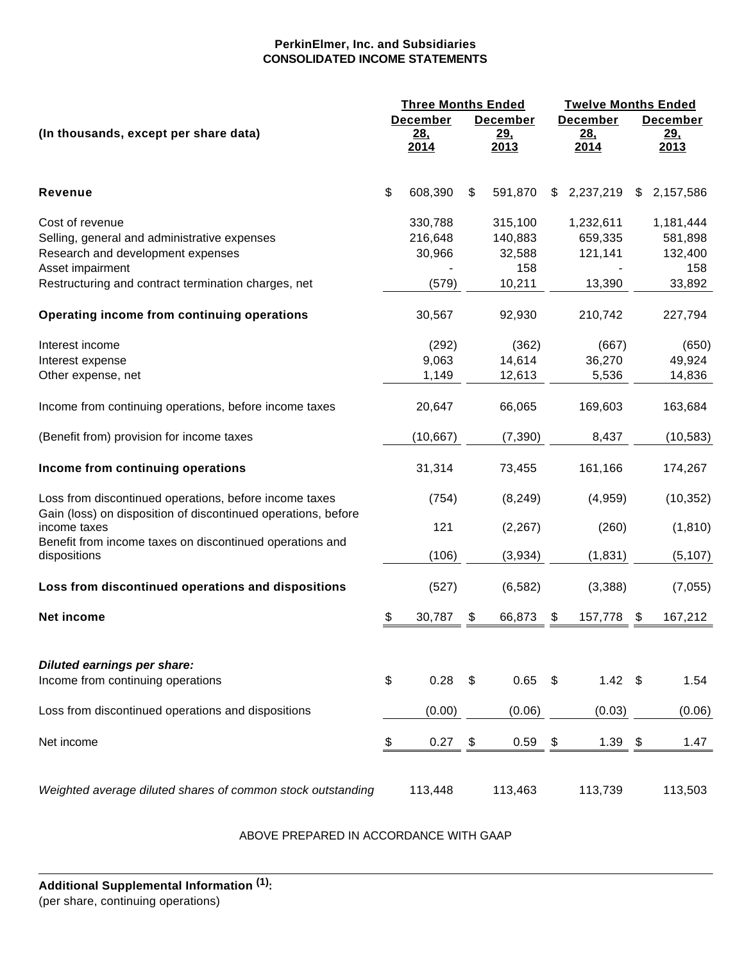## **PerkinElmer, Inc. and Subsidiaries CONSOLIDATED INCOME STATEMENTS**

|                                                                                                                         | <b>Three Months Ended</b><br><b>Twelve Months Ended</b> |                                    |    |                         |                                    |                         |    |                         |  |
|-------------------------------------------------------------------------------------------------------------------------|---------------------------------------------------------|------------------------------------|----|-------------------------|------------------------------------|-------------------------|----|-------------------------|--|
| (In thousands, except per share data)                                                                                   |                                                         | <b>December</b><br><b>December</b> |    |                         | <b>December</b><br><b>December</b> |                         |    |                         |  |
|                                                                                                                         |                                                         | 28 <sub>1</sub><br>2014            |    | 29 <sub>1</sub><br>2013 |                                    | 28 <sub>1</sub><br>2014 |    | 29 <sub>1</sub><br>2013 |  |
| <b>Revenue</b>                                                                                                          | \$                                                      | 608,390                            | \$ | 591,870                 | \$                                 | 2,237,219               | \$ | 2,157,586               |  |
| Cost of revenue                                                                                                         |                                                         | 330,788                            |    | 315,100                 |                                    | 1,232,611               |    | 1,181,444               |  |
| Selling, general and administrative expenses                                                                            |                                                         | 216,648                            |    | 140,883                 |                                    | 659,335                 |    | 581,898                 |  |
| Research and development expenses                                                                                       |                                                         | 30,966                             |    | 32,588                  |                                    | 121,141                 |    | 132,400                 |  |
| Asset impairment                                                                                                        |                                                         |                                    |    | 158                     |                                    |                         |    | 158                     |  |
| Restructuring and contract termination charges, net                                                                     |                                                         | (579)                              |    | 10,211                  |                                    | 13,390                  |    | 33,892                  |  |
| Operating income from continuing operations                                                                             |                                                         | 30,567                             |    | 92,930                  |                                    | 210,742                 |    | 227,794                 |  |
| Interest income                                                                                                         |                                                         | (292)                              |    | (362)                   |                                    | (667)                   |    | (650)                   |  |
| Interest expense                                                                                                        |                                                         | 9,063                              |    | 14,614                  |                                    | 36,270                  |    | 49,924                  |  |
| Other expense, net                                                                                                      |                                                         | 1,149                              |    | 12,613                  |                                    | 5,536                   |    | 14,836                  |  |
| Income from continuing operations, before income taxes                                                                  |                                                         | 20,647                             |    | 66,065                  |                                    | 169,603                 |    | 163,684                 |  |
| (Benefit from) provision for income taxes                                                                               |                                                         | (10, 667)                          |    | (7, 390)                |                                    | 8,437                   |    | (10, 583)               |  |
| Income from continuing operations                                                                                       |                                                         | 31,314                             |    | 73,455                  |                                    | 161,166                 |    | 174,267                 |  |
| Loss from discontinued operations, before income taxes<br>Gain (loss) on disposition of discontinued operations, before |                                                         | (754)                              |    | (8, 249)                |                                    | (4,959)                 |    | (10, 352)               |  |
| income taxes<br>Benefit from income taxes on discontinued operations and                                                |                                                         | 121                                |    | (2, 267)                |                                    | (260)                   |    | (1, 810)                |  |
| dispositions                                                                                                            |                                                         | (106)                              |    | (3,934)                 |                                    | (1, 831)                |    | (5, 107)                |  |
| Loss from discontinued operations and dispositions                                                                      |                                                         | (527)                              |    | (6, 582)                |                                    | (3,388)                 |    | (7,055)                 |  |
| <b>Net income</b>                                                                                                       | \$                                                      | 30,787                             | \$ | 66,873                  | \$                                 | 157,778                 | \$ | 167,212                 |  |
| <b>Diluted earnings per share:</b>                                                                                      |                                                         |                                    |    |                         |                                    |                         |    |                         |  |
| Income from continuing operations                                                                                       | \$                                                      | 0.28                               | \$ | 0.65                    | $\sqrt[6]{3}$                      | $1.42$ \$               |    | 1.54                    |  |
| Loss from discontinued operations and dispositions                                                                      |                                                         | (0.00)                             |    | (0.06)                  |                                    | (0.03)                  |    | (0.06)                  |  |
| Net income                                                                                                              | \$                                                      | 0.27                               | \$ | 0.59                    | \$                                 | 1.39                    | \$ | 1.47                    |  |
| Weighted average diluted shares of common stock outstanding                                                             |                                                         | 113,448                            |    | 113,463                 |                                    | 113,739                 |    | 113,503                 |  |

ABOVE PREPARED IN ACCORDANCE WITH GAAP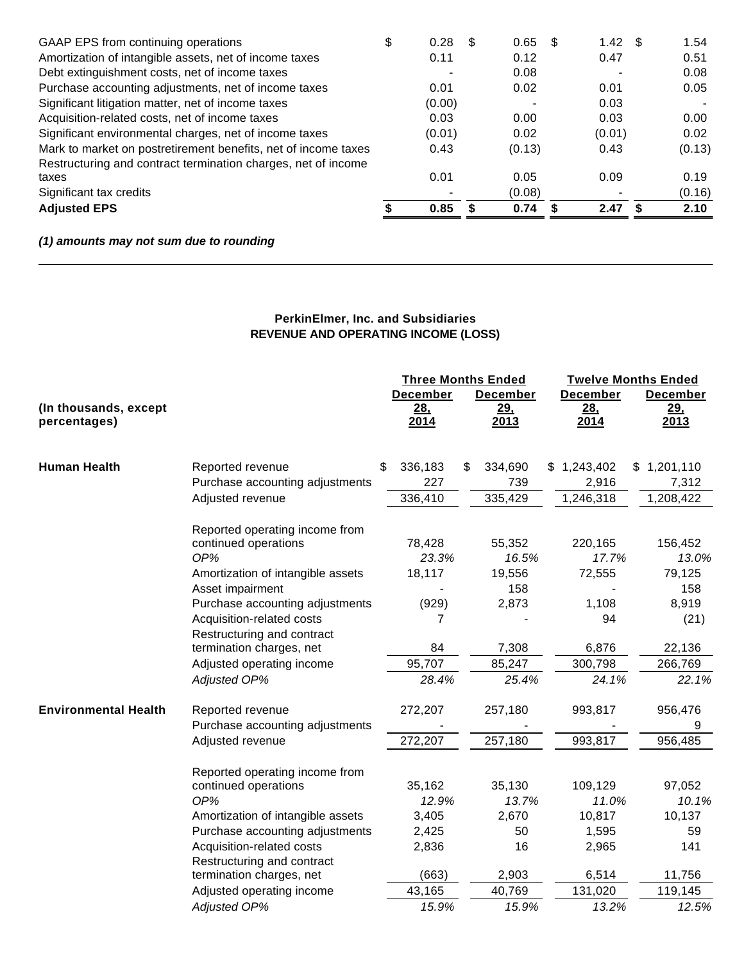| GAAP EPS from continuing operations                            | \$<br>0.28 | -S | 0.65   | 1.42   | S | 1.54   |
|----------------------------------------------------------------|------------|----|--------|--------|---|--------|
| Amortization of intangible assets, net of income taxes         | 0.11       |    | 0.12   | 0.47   |   | 0.51   |
| Debt extinguishment costs, net of income taxes                 |            |    | 0.08   |        |   | 0.08   |
| Purchase accounting adjustments, net of income taxes           | 0.01       |    | 0.02   | 0.01   |   | 0.05   |
| Significant litigation matter, net of income taxes             | (0.00)     |    |        | 0.03   |   |        |
| Acquisition-related costs, net of income taxes                 | 0.03       |    | 0.00   | 0.03   |   | 0.00   |
| Significant environmental charges, net of income taxes         | (0.01)     |    | 0.02   | (0.01) |   | 0.02   |
| Mark to market on postretirement benefits, net of income taxes | 0.43       |    | (0.13) | 0.43   |   | (0.13) |
| Restructuring and contract termination charges, net of income  |            |    |        |        |   |        |
| taxes                                                          | 0.01       |    | 0.05   | 0.09   |   | 0.19   |
| Significant tax credits                                        |            |    | (0.08) |        |   | (0.16) |
| <b>Adjusted EPS</b>                                            | 0.85       |    | 0.74   | 2.47   |   | 2.10   |

**(1) amounts may not sum due to rounding**

### **PerkinElmer, Inc. and Subsidiaries REVENUE AND OPERATING INCOME (LOSS)**

|                                       | <b>Three Months Ended</b><br><b>Twelve Months Ended</b> |    |                                            |    |                                            |  |                                |  |                                |
|---------------------------------------|---------------------------------------------------------|----|--------------------------------------------|----|--------------------------------------------|--|--------------------------------|--|--------------------------------|
| (In thousands, except<br>percentages) |                                                         |    | <b>December</b><br>28 <sub>1</sub><br>2014 |    | <b>December</b><br>29 <sub>1</sub><br>2013 |  | <b>December</b><br>28.<br>2014 |  | <b>December</b><br>29.<br>2013 |
| <b>Human Health</b>                   | Reported revenue                                        | \$ | 336,183                                    | \$ | 334,690                                    |  | \$1,243,402                    |  | \$1,201,110                    |
|                                       | Purchase accounting adjustments                         |    | 227                                        |    | 739                                        |  | 2,916                          |  | 7,312                          |
|                                       | Adjusted revenue                                        |    | 336,410                                    |    | 335,429                                    |  | 1,246,318                      |  | 1,208,422                      |
|                                       | Reported operating income from                          |    |                                            |    |                                            |  |                                |  |                                |
|                                       | continued operations                                    |    | 78,428                                     |    | 55,352                                     |  | 220,165                        |  | 156,452                        |
|                                       | OP%                                                     |    | 23.3%                                      |    | 16.5%                                      |  | 17.7%                          |  | 13.0%                          |
|                                       | Amortization of intangible assets                       |    | 18,117                                     |    | 19,556                                     |  | 72,555                         |  | 79,125                         |
|                                       | Asset impairment                                        |    |                                            |    | 158                                        |  |                                |  | 158                            |
|                                       | Purchase accounting adjustments                         |    | (929)                                      |    | 2,873                                      |  | 1,108                          |  | 8,919                          |
|                                       | Acquisition-related costs                               |    | 7                                          |    |                                            |  | 94                             |  | (21)                           |
|                                       | Restructuring and contract                              |    | 84                                         |    | 7,308                                      |  | 6,876                          |  | 22,136                         |
|                                       | termination charges, net                                |    |                                            |    |                                            |  |                                |  |                                |
|                                       | Adjusted operating income                               |    | 95,707                                     |    | 85,247                                     |  | 300,798                        |  | 266,769                        |
|                                       | Adjusted OP%                                            |    | 28.4%                                      |    | 25.4%                                      |  | 24.1%                          |  | 22.1%                          |
| <b>Environmental Health</b>           | Reported revenue                                        |    | 272,207                                    |    | 257,180                                    |  | 993,817                        |  | 956,476                        |
|                                       | Purchase accounting adjustments                         |    |                                            |    |                                            |  |                                |  | 9                              |
|                                       | Adjusted revenue                                        |    | 272,207                                    |    | 257,180                                    |  | 993,817                        |  | 956,485                        |
|                                       | Reported operating income from                          |    |                                            |    |                                            |  |                                |  |                                |
|                                       | continued operations                                    |    | 35,162                                     |    | 35,130                                     |  | 109,129                        |  | 97,052                         |
|                                       | OP%                                                     |    | 12.9%                                      |    | 13.7%                                      |  | 11.0%                          |  | 10.1%                          |
|                                       | Amortization of intangible assets                       |    | 3,405                                      |    | 2,670                                      |  | 10,817                         |  | 10,137                         |
|                                       | Purchase accounting adjustments                         |    | 2,425                                      |    | 50                                         |  | 1,595                          |  | 59                             |
|                                       | Acquisition-related costs                               |    | 2,836                                      |    | 16                                         |  | 2,965                          |  | 141                            |
|                                       | Restructuring and contract                              |    |                                            |    |                                            |  |                                |  |                                |
|                                       | termination charges, net                                |    | (663)                                      |    | 2,903                                      |  | 6,514                          |  | 11,756                         |
|                                       | Adjusted operating income                               |    | 43,165                                     |    | 40,769                                     |  | 131,020                        |  | 119,145                        |
|                                       | Adjusted OP%                                            |    | 15.9%                                      |    | 15.9%                                      |  | 13.2%                          |  | 12.5%                          |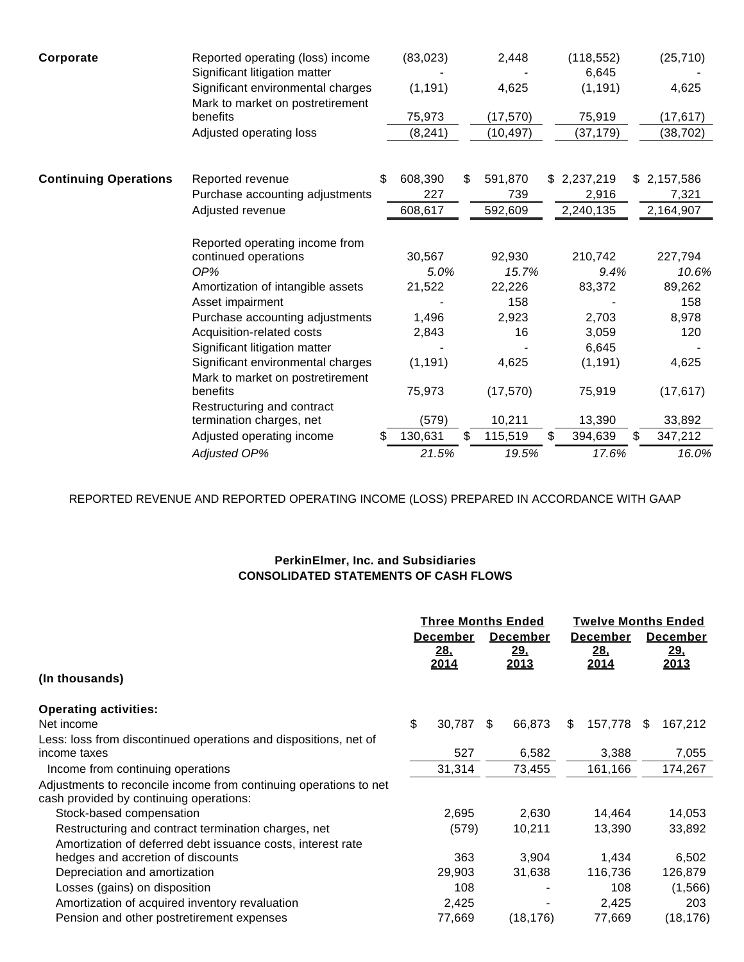| Corporate                    | Reported operating (loss) income                       |     | (83, 023) |   | 2,448     |     | (118, 552)  | (25, 710)     |
|------------------------------|--------------------------------------------------------|-----|-----------|---|-----------|-----|-------------|---------------|
|                              | Significant litigation matter                          |     |           |   |           |     | 6,645       |               |
|                              | Significant environmental charges                      |     | (1, 191)  |   | 4,625     |     | (1, 191)    | 4,625         |
|                              | Mark to market on postretirement                       |     |           |   |           |     |             |               |
|                              | benefits                                               |     | 75,973    |   | (17, 570) |     | 75,919      | (17, 617)     |
|                              | Adjusted operating loss                                |     | (8, 241)  |   | (10, 497) |     | (37, 179)   | (38, 702)     |
| <b>Continuing Operations</b> | Reported revenue                                       | \$. | 608,390   | S | 591,870   |     | \$2,237,219 | \$2,157,586   |
|                              | Purchase accounting adjustments                        |     | 227       |   | 739       |     | 2,916       | 7,321         |
|                              | Adjusted revenue                                       |     | 608,617   |   | 592,609   |     | 2,240,135   | 2,164,907     |
|                              |                                                        |     |           |   |           |     |             |               |
|                              | Reported operating income from                         |     |           |   |           |     |             |               |
|                              | continued operations                                   |     | 30,567    |   | 92,930    |     | 210,742     | 227,794       |
|                              | OP%                                                    |     | 5.0%      |   | 15.7%     |     | 9.4%        | 10.6%         |
|                              | Amortization of intangible assets                      |     | 21,522    |   | 22,226    |     | 83,372      | 89,262        |
|                              | Asset impairment                                       |     |           |   | 158       |     |             | 158           |
|                              | Purchase accounting adjustments                        |     | 1,496     |   | 2,923     |     | 2,703       | 8,978         |
|                              | Acquisition-related costs                              |     | 2,843     |   | 16        |     | 3,059       | 120           |
|                              | Significant litigation matter                          |     |           |   |           |     | 6,645       |               |
|                              | Significant environmental charges                      |     | (1, 191)  |   | 4,625     |     | (1, 191)    | 4,625         |
|                              | Mark to market on postretirement<br>benefits           |     |           |   |           |     |             |               |
|                              |                                                        |     | 75,973    |   | (17, 570) |     | 75,919      | (17, 617)     |
|                              | Restructuring and contract<br>termination charges, net |     | (579)     |   | 10,211    |     | 13,390      | 33,892        |
|                              | Adjusted operating income                              | S   | 130,631   |   | 115,519   | \$. | 394,639     | \$<br>347,212 |
|                              | <b>Adjusted OP%</b>                                    |     | 21.5%     |   | 19.5%     |     | 17.6%       | 16.0%         |

REPORTED REVENUE AND REPORTED OPERATING INCOME (LOSS) PREPARED IN ACCORDANCE WITH GAAP

## **PerkinElmer, Inc. and Subsidiaries CONSOLIDATED STATEMENTS OF CASH FLOWS**

|                                                                   |                                                   | <b>Three Months Ended</b> |                                       |           | <b>Twelve Months Ended</b>                 |         |   |                                       |
|-------------------------------------------------------------------|---------------------------------------------------|---------------------------|---------------------------------------|-----------|--------------------------------------------|---------|---|---------------------------------------|
|                                                                   | <b>December</b><br>28 <sub>1</sub><br><u>2014</u> |                           | <b>December</b><br><u>29,</u><br>2013 |           | <b>December</b><br>28 <sub>1</sub><br>2014 |         |   | <b>December</b><br><u>29,</u><br>2013 |
| (In thousands)                                                    |                                                   |                           |                                       |           |                                            |         |   |                                       |
| <b>Operating activities:</b>                                      |                                                   |                           |                                       |           |                                            |         |   |                                       |
| Net income                                                        | \$                                                | 30,787                    | \$.                                   | 66,873    | \$.                                        | 157,778 | S | 167,212                               |
| Less: loss from discontinued operations and dispositions, net of  |                                                   |                           |                                       |           |                                            |         |   |                                       |
| income taxes                                                      |                                                   | 527                       |                                       | 6,582     |                                            | 3,388   |   | 7,055                                 |
| Income from continuing operations                                 |                                                   | 31,314                    |                                       | 73,455    |                                            | 161,166 |   | 174,267                               |
| Adjustments to reconcile income from continuing operations to net |                                                   |                           |                                       |           |                                            |         |   |                                       |
| cash provided by continuing operations:                           |                                                   |                           |                                       |           |                                            |         |   |                                       |
| Stock-based compensation                                          |                                                   | 2,695                     |                                       | 2,630     |                                            | 14,464  |   | 14,053                                |
| Restructuring and contract termination charges, net               |                                                   | (579)                     |                                       | 10,211    |                                            | 13,390  |   | 33,892                                |
| Amortization of deferred debt issuance costs, interest rate       |                                                   |                           |                                       |           |                                            |         |   |                                       |
| hedges and accretion of discounts                                 |                                                   | 363                       |                                       | 3,904     |                                            | 1,434   |   | 6,502                                 |
| Depreciation and amortization                                     |                                                   | 29,903                    |                                       | 31,638    |                                            | 116,736 |   | 126,879                               |
| Losses (gains) on disposition                                     |                                                   | 108                       |                                       |           |                                            | 108     |   | (1, 566)                              |
| Amortization of acquired inventory revaluation                    |                                                   | 2,425                     |                                       |           |                                            | 2,425   |   | 203                                   |
| Pension and other postretirement expenses                         |                                                   | 77,669                    |                                       | (18, 176) |                                            | 77,669  |   | (18, 176)                             |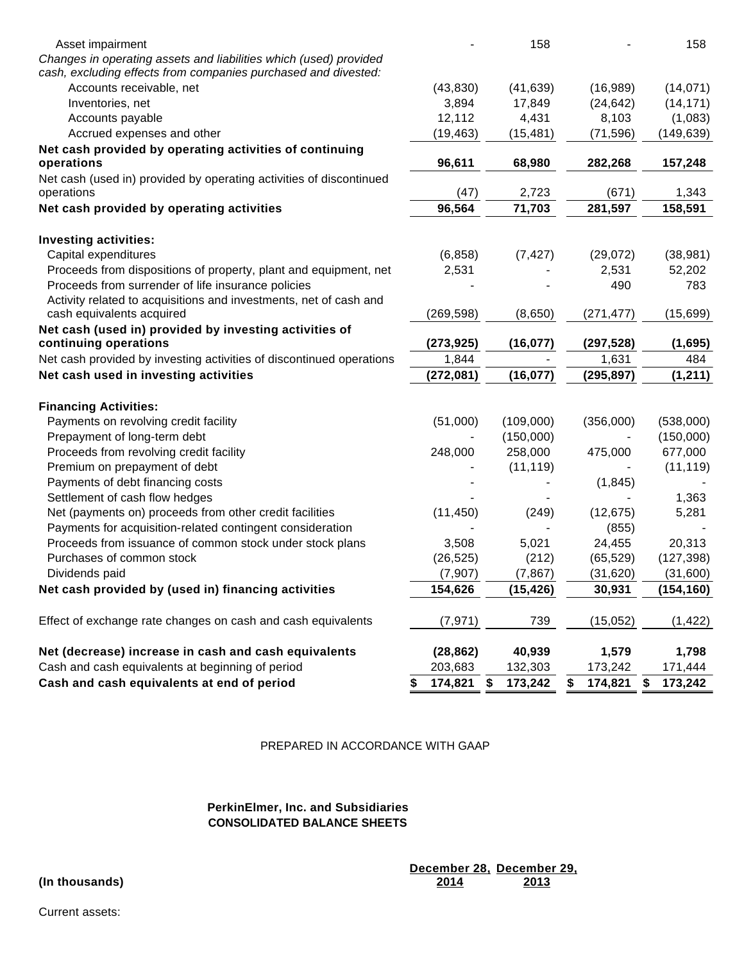| Asset impairment                                                     |               | 158           |               | 158           |
|----------------------------------------------------------------------|---------------|---------------|---------------|---------------|
| Changes in operating assets and liabilities which (used) provided    |               |               |               |               |
| cash, excluding effects from companies purchased and divested:       |               |               |               |               |
| Accounts receivable, net                                             | (43, 830)     | (41, 639)     | (16, 989)     | (14,071)      |
| Inventories, net                                                     | 3,894         | 17,849        | (24, 642)     | (14, 171)     |
| Accounts payable                                                     | 12,112        | 4,431         | 8,103         | (1,083)       |
| Accrued expenses and other                                           | (19, 463)     | (15, 481)     | (71, 596)     | (149, 639)    |
| Net cash provided by operating activities of continuing              |               |               |               |               |
| operations                                                           | 96,611        | 68,980        | 282,268       | 157,248       |
| Net cash (used in) provided by operating activities of discontinued  |               |               |               |               |
| operations                                                           | (47)          | 2,723         | (671)         | 1,343         |
| Net cash provided by operating activities                            | 96,564        | 71,703        | 281,597       | 158,591       |
|                                                                      |               |               |               |               |
| <b>Investing activities:</b>                                         |               |               |               |               |
| Capital expenditures                                                 | (6, 858)      | (7, 427)      | (29, 072)     | (38, 981)     |
| Proceeds from dispositions of property, plant and equipment, net     | 2,531         |               | 2,531         | 52,202        |
| Proceeds from surrender of life insurance policies                   |               |               | 490           | 783           |
| Activity related to acquisitions and investments, net of cash and    |               |               |               |               |
| cash equivalents acquired                                            | (269,598)     | (8,650)       | (271, 477)    | (15,699)      |
| Net cash (used in) provided by investing activities of               |               |               |               |               |
| continuing operations                                                | (273,925)     | (16, 077)     | (297, 528)    | (1,695)       |
| Net cash provided by investing activities of discontinued operations | 1,844         |               | 1,631         | 484           |
| Net cash used in investing activities                                | (272, 081)    | (16, 077)     | (295, 897)    | (1, 211)      |
| <b>Financing Activities:</b>                                         |               |               |               |               |
| Payments on revolving credit facility                                | (51,000)      | (109,000)     | (356,000)     | (538,000)     |
| Prepayment of long-term debt                                         |               | (150,000)     |               | (150,000)     |
| Proceeds from revolving credit facility                              | 248,000       | 258,000       | 475,000       | 677,000       |
| Premium on prepayment of debt                                        |               | (11, 119)     |               | (11, 119)     |
| Payments of debt financing costs                                     |               |               | (1, 845)      |               |
| Settlement of cash flow hedges                                       |               |               |               | 1,363         |
| Net (payments on) proceeds from other credit facilities              | (11, 450)     | (249)         | (12, 675)     | 5,281         |
| Payments for acquisition-related contingent consideration            |               |               | (855)         |               |
| Proceeds from issuance of common stock under stock plans             | 3,508         | 5,021         | 24,455        | 20,313        |
| Purchases of common stock                                            | (26, 525)     | (212)         | (65, 529)     | (127, 398)    |
| Dividends paid                                                       | (7, 907)      | (7, 867)      | (31, 620)     | (31,600)      |
| Net cash provided by (used in) financing activities                  | 154,626       | (15, 426)     | 30,931        | (154, 160)    |
|                                                                      |               |               |               |               |
| Effect of exchange rate changes on cash and cash equivalents         | (7, 971)      | 739           | (15,052)      | (1, 422)      |
|                                                                      |               |               |               |               |
| Net (decrease) increase in cash and cash equivalents                 | (28, 862)     | 40,939        | 1,579         | 1,798         |
| Cash and cash equivalents at beginning of period                     | 203,683       | 132,303       | 173,242       | 171,444       |
| Cash and cash equivalents at end of period                           | 174,821<br>\$ | 173,242<br>\$ | 174,821<br>\$ | \$<br>173,242 |

## PREPARED IN ACCORDANCE WITH GAAP

**PerkinElmer, Inc. and Subsidiaries CONSOLIDATED BALANCE SHEETS**

> **December 28, December 29, 2014 2013**

**(In thousands)**

Current assets: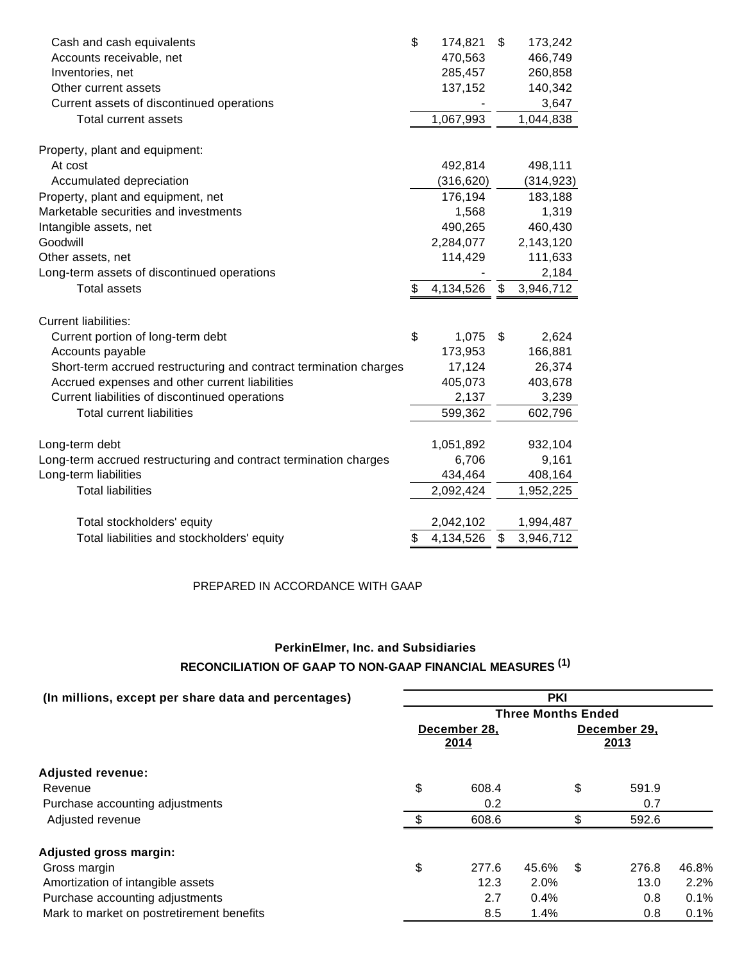| Cash and cash equivalents                                         | \$<br>174,821   | \$<br>173,242   |
|-------------------------------------------------------------------|-----------------|-----------------|
| Accounts receivable, net                                          | 470,563         | 466,749         |
| Inventories, net                                                  | 285,457         | 260,858         |
| Other current assets                                              | 137,152         | 140,342         |
| Current assets of discontinued operations                         |                 | 3,647           |
| <b>Total current assets</b>                                       | 1,067,993       | 1,044,838       |
| Property, plant and equipment:                                    |                 |                 |
| At cost                                                           | 492,814         | 498,111         |
| Accumulated depreciation                                          | (316, 620)      | (314, 923)      |
| Property, plant and equipment, net                                | 176,194         | 183,188         |
| Marketable securities and investments                             | 1,568           | 1,319           |
| Intangible assets, net                                            | 490,265         | 460,430         |
| Goodwill                                                          | 2,284,077       | 2,143,120       |
| Other assets, net                                                 | 114,429         | 111,633         |
| Long-term assets of discontinued operations                       |                 | 2,184           |
| <b>Total assets</b>                                               | \$<br>4,134,526 | \$<br>3,946,712 |
| <b>Current liabilities:</b>                                       |                 |                 |
| Current portion of long-term debt                                 | \$<br>1,075     | \$<br>2,624     |
| Accounts payable                                                  | 173,953         | 166,881         |
| Short-term accrued restructuring and contract termination charges | 17,124          | 26,374          |
| Accrued expenses and other current liabilities                    | 405,073         | 403,678         |
| Current liabilities of discontinued operations                    | 2,137           | 3,239           |
| <b>Total current liabilities</b>                                  | 599,362         | 602,796         |
|                                                                   |                 |                 |
| Long-term debt                                                    | 1,051,892       | 932,104         |
| Long-term accrued restructuring and contract termination charges  | 6,706           | 9,161           |
| Long-term liabilities                                             | 434,464         | 408,164         |
| <b>Total liabilities</b>                                          | 2,092,424       | 1,952,225       |
| Total stockholders' equity                                        | 2,042,102       | 1,994,487       |
| Total liabilities and stockholders' equity                        | \$<br>4,134,526 | \$<br>3,946,712 |
|                                                                   |                 |                 |

## PREPARED IN ACCORDANCE WITH GAAP

# **PerkinElmer, Inc. and Subsidiaries RECONCILIATION OF GAAP TO NON-GAAP FINANCIAL MEASURES (1)**

| (In millions, except per share data and percentages) | <b>PKI</b> |                      |       |                             |       |         |  |  |  |  |  |
|------------------------------------------------------|------------|----------------------|-------|-----------------------------|-------|---------|--|--|--|--|--|
|                                                      |            |                      |       | <b>Three Months Ended</b>   |       |         |  |  |  |  |  |
|                                                      |            | December 28,<br>2014 |       | December 29.<br><u>2013</u> |       |         |  |  |  |  |  |
| <b>Adjusted revenue:</b>                             |            |                      |       |                             |       |         |  |  |  |  |  |
| Revenue                                              | \$         | 608.4                |       | \$                          | 591.9 |         |  |  |  |  |  |
| Purchase accounting adjustments                      |            | 0.2                  |       |                             | 0.7   |         |  |  |  |  |  |
| Adjusted revenue                                     | \$         | 608.6                |       | \$.                         | 592.6 |         |  |  |  |  |  |
| Adjusted gross margin:                               |            |                      |       |                             |       |         |  |  |  |  |  |
| Gross margin                                         | \$         | 277.6                | 45.6% | \$                          | 276.8 | 46.8%   |  |  |  |  |  |
| Amortization of intangible assets                    |            | 12.3                 | 2.0%  |                             | 13.0  | 2.2%    |  |  |  |  |  |
| Purchase accounting adjustments                      |            | 2.7                  | 0.4%  |                             | 0.8   | $0.1\%$ |  |  |  |  |  |
| Mark to market on postretirement benefits            |            | 8.5                  | 1.4%  |                             | 0.8   | 0.1%    |  |  |  |  |  |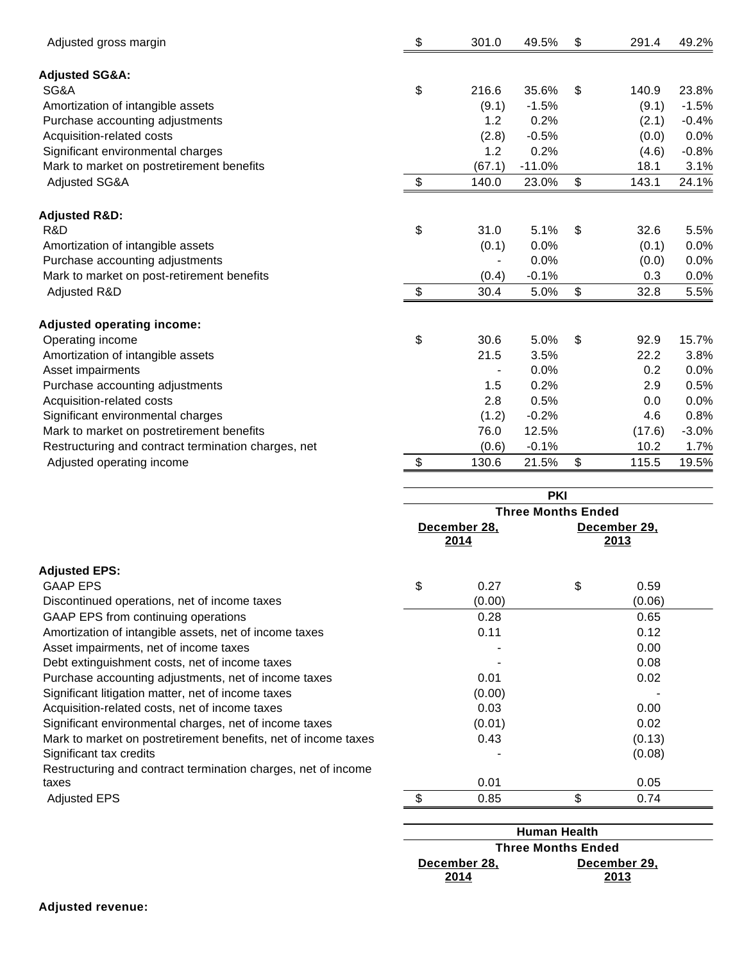| Adjusted gross margin                               | \$                                        | 301.0  | 49.5%    | \$<br>291.4 | 49.2%   |
|-----------------------------------------------------|-------------------------------------------|--------|----------|-------------|---------|
| <b>Adjusted SG&amp;A:</b>                           |                                           |        |          |             |         |
| SG&A                                                | \$                                        | 216.6  | 35.6%    | \$<br>140.9 | 23.8%   |
| Amortization of intangible assets                   |                                           | (9.1)  | $-1.5%$  | (9.1)       | $-1.5%$ |
| Purchase accounting adjustments                     |                                           | 1.2    | 0.2%     | (2.1)       | $-0.4%$ |
| Acquisition-related costs                           |                                           | (2.8)  | $-0.5%$  | (0.0)       | 0.0%    |
| Significant environmental charges                   |                                           | 1.2    | 0.2%     | (4.6)       | $-0.8%$ |
| Mark to market on postretirement benefits           |                                           | (67.1) | $-11.0%$ | 18.1        | 3.1%    |
| Adjusted SG&A                                       | $\, \, \raisebox{12pt}{$\scriptstyle \$}$ | 140.0  | 23.0%    | \$<br>143.1 | 24.1%   |
| <b>Adjusted R&amp;D:</b>                            |                                           |        |          |             |         |
| R&D                                                 | \$                                        | 31.0   | 5.1%     | \$<br>32.6  | 5.5%    |
| Amortization of intangible assets                   |                                           | (0.1)  | 0.0%     | (0.1)       | 0.0%    |
| Purchase accounting adjustments                     |                                           |        | 0.0%     | (0.0)       | 0.0%    |
| Mark to market on post-retirement benefits          |                                           | (0.4)  | $-0.1%$  | 0.3         | 0.0%    |
| Adjusted R&D                                        | $\sqrt[6]{\frac{1}{2}}$                   | 30.4   | 5.0%     | \$<br>32.8  | 5.5%    |
| <b>Adjusted operating income:</b>                   |                                           |        |          |             |         |
| Operating income                                    | \$                                        | 30.6   | 5.0%     | \$<br>92.9  | 15.7%   |
| Amortization of intangible assets                   |                                           | 21.5   | 3.5%     | 22.2        | 3.8%    |
| Asset impairments                                   |                                           |        | 0.0%     | 0.2         | 0.0%    |
| Purchase accounting adjustments                     |                                           | 1.5    | 0.2%     | 2.9         | 0.5%    |
| Acquisition-related costs                           |                                           | 2.8    | 0.5%     | 0.0         | 0.0%    |
| Significant environmental charges                   |                                           | (1.2)  | $-0.2%$  | 4.6         | 0.8%    |
| Mark to market on postretirement benefits           |                                           | 76.0   | 12.5%    | (17.6)      | $-3.0%$ |
| Restructuring and contract termination charges, net |                                           | (0.6)  | $-0.1%$  | 10.2        | 1.7%    |
| Adjusted operating income                           | $\boldsymbol{\$}$                         | 130.6  | 21.5%    | \$<br>115.5 | 19.5%   |

|                                                                | <b>PKI</b> |                      |                           |                      |  |  |  |
|----------------------------------------------------------------|------------|----------------------|---------------------------|----------------------|--|--|--|
|                                                                |            |                      | <b>Three Months Ended</b> |                      |  |  |  |
|                                                                |            | December 28,<br>2014 |                           | December 29,<br>2013 |  |  |  |
| <b>Adjusted EPS:</b>                                           |            |                      |                           |                      |  |  |  |
| <b>GAAP EPS</b>                                                | \$         | 0.27                 | \$                        | 0.59                 |  |  |  |
| Discontinued operations, net of income taxes                   |            | (0.00)               |                           | (0.06)               |  |  |  |
| GAAP EPS from continuing operations                            |            | 0.28                 |                           | 0.65                 |  |  |  |
| Amortization of intangible assets, net of income taxes         |            | 0.11                 |                           | 0.12                 |  |  |  |
| Asset impairments, net of income taxes                         |            |                      |                           | 0.00                 |  |  |  |
| Debt extinguishment costs, net of income taxes                 |            |                      |                           | 0.08                 |  |  |  |
| Purchase accounting adjustments, net of income taxes           |            | 0.01                 |                           | 0.02                 |  |  |  |
| Significant litigation matter, net of income taxes             |            | (0.00)               |                           |                      |  |  |  |
| Acquisition-related costs, net of income taxes                 |            | 0.03                 |                           | 0.00                 |  |  |  |
| Significant environmental charges, net of income taxes         |            | (0.01)               |                           | 0.02                 |  |  |  |
| Mark to market on postretirement benefits, net of income taxes |            | 0.43                 |                           | (0.13)               |  |  |  |
| Significant tax credits                                        |            |                      |                           | (0.08)               |  |  |  |
| Restructuring and contract termination charges, net of income  |            |                      |                           |                      |  |  |  |
| taxes                                                          |            | 0.01                 |                           | 0.05                 |  |  |  |
| <b>Adjusted EPS</b>                                            | \$         | 0.85                 | \$                        | 0.74                 |  |  |  |
|                                                                |            |                      | <b>Human Health</b>       |                      |  |  |  |
|                                                                |            |                      |                           |                      |  |  |  |

| Human Health              |              |  |  |  |  |  |
|---------------------------|--------------|--|--|--|--|--|
| <b>Three Months Ended</b> |              |  |  |  |  |  |
| December 28.              | December 29. |  |  |  |  |  |
| 2014                      | 2013         |  |  |  |  |  |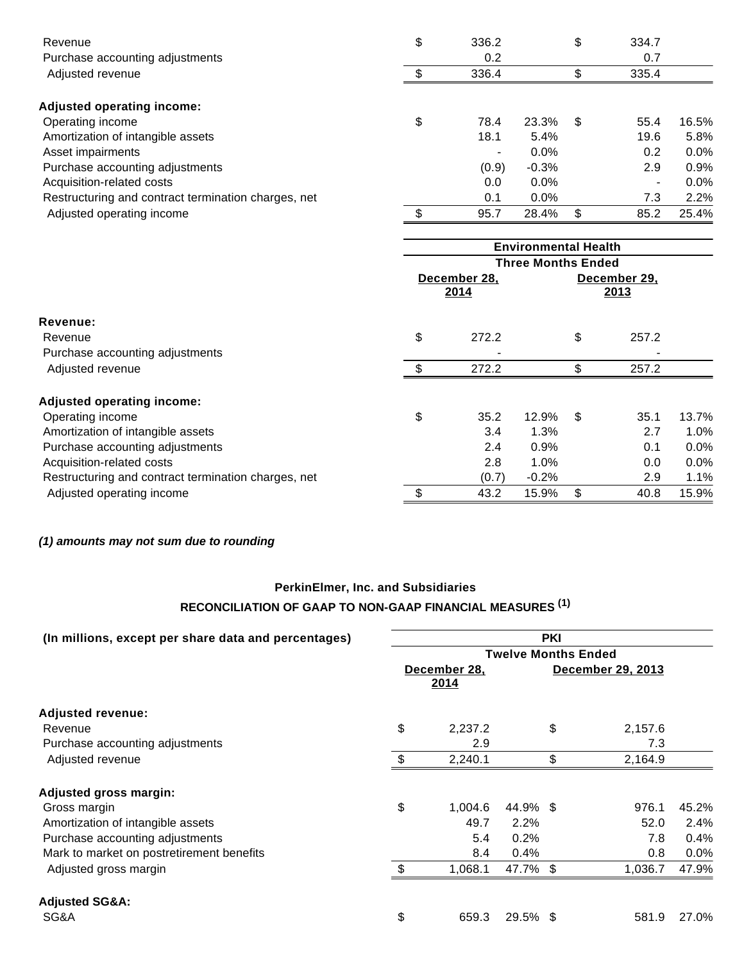| \$<br>336.2    |         | \$  | 334.7          |         |
|----------------|---------|-----|----------------|---------|
| 0.2            |         |     | 0.7            |         |
| \$<br>336.4    |         | \$  | 335.4          |         |
|                |         |     |                |         |
| \$<br>78.4     | 23.3%   | \$. | 55.4           | 16.5%   |
| 18.1           | 5.4%    |     | 19.6           | 5.8%    |
| $\blacksquare$ | $0.0\%$ |     | 0.2            | $0.0\%$ |
| (0.9)          | $-0.3%$ |     | 2.9            | 0.9%    |
| 0.0            | $0.0\%$ |     | $\blacksquare$ | 0.0%    |
| 0.1            | $0.0\%$ |     | 7.3            | 2.2%    |
| \$<br>95.7     | 28.4%   | \$  | 85.2           | 25.4%   |
|                |         |     |                |         |

|                                                     | <b>Environmental Health</b> |                      |         |     |                      |         |
|-----------------------------------------------------|-----------------------------|----------------------|---------|-----|----------------------|---------|
|                                                     | <b>Three Months Ended</b>   |                      |         |     |                      |         |
|                                                     |                             | December 28,<br>2014 |         |     | December 29,<br>2013 |         |
| Revenue:                                            |                             |                      |         |     |                      |         |
| Revenue                                             | \$                          | 272.2                |         | \$  | 257.2                |         |
| Purchase accounting adjustments                     |                             |                      |         |     |                      |         |
| Adjusted revenue                                    | \$                          | 272.2                |         | \$  | 257.2                |         |
| <b>Adjusted operating income:</b>                   |                             |                      |         |     |                      |         |
| Operating income                                    | \$                          | 35.2                 | 12.9%   | -\$ | 35.1                 | 13.7%   |
| Amortization of intangible assets                   |                             | 3.4                  | 1.3%    |     | 2.7                  | 1.0%    |
| Purchase accounting adjustments                     |                             | 2.4                  | 0.9%    |     | 0.1                  | $0.0\%$ |
| Acquisition-related costs                           |                             | 2.8                  | 1.0%    |     | 0.0                  | $0.0\%$ |
| Restructuring and contract termination charges, net |                             | (0.7)                | $-0.2%$ |     | 2.9                  | 1.1%    |
| Adjusted operating income                           | \$                          | 43.2                 | 15.9%   | \$  | 40.8                 | 15.9%   |

## **(1) amounts may not sum due to rounding**

# **PerkinElmer, Inc. and Subsidiaries RECONCILIATION OF GAAP TO NON-GAAP FINANCIAL MEASURES (1)**

| (In millions, except per share data and percentages) |    | <b>PKI</b><br><b>Twelve Months Ended</b> |          |    |         |         |  |
|------------------------------------------------------|----|------------------------------------------|----------|----|---------|---------|--|
|                                                      |    |                                          |          |    |         |         |  |
|                                                      |    |                                          |          |    |         |         |  |
| <b>Adjusted revenue:</b>                             |    |                                          |          |    |         |         |  |
| Revenue                                              | \$ | 2,237.2                                  |          | \$ | 2,157.6 |         |  |
| Purchase accounting adjustments                      |    | 2.9                                      |          |    | 7.3     |         |  |
| Adjusted revenue                                     | \$ | 2,240.1                                  |          | \$ | 2,164.9 |         |  |
| <b>Adjusted gross margin:</b>                        |    |                                          |          |    |         |         |  |
| Gross margin                                         | \$ | 1,004.6                                  | 44.9% \$ |    | 976.1   | 45.2%   |  |
| Amortization of intangible assets                    |    | 49.7                                     | 2.2%     |    | 52.0    | 2.4%    |  |
| Purchase accounting adjustments                      |    | 5.4                                      | 0.2%     |    | 7.8     | 0.4%    |  |
| Mark to market on postretirement benefits            |    | 8.4                                      | 0.4%     |    | 0.8     | $0.0\%$ |  |
| Adjusted gross margin                                | \$ | 1,068.1                                  | 47.7% \$ |    | 1,036.7 | 47.9%   |  |
| <b>Adjusted SG&amp;A:</b>                            |    |                                          |          |    |         |         |  |
| SG&A                                                 | \$ | 659.3                                    | 29.5% \$ |    | 581.9   | 27.0%   |  |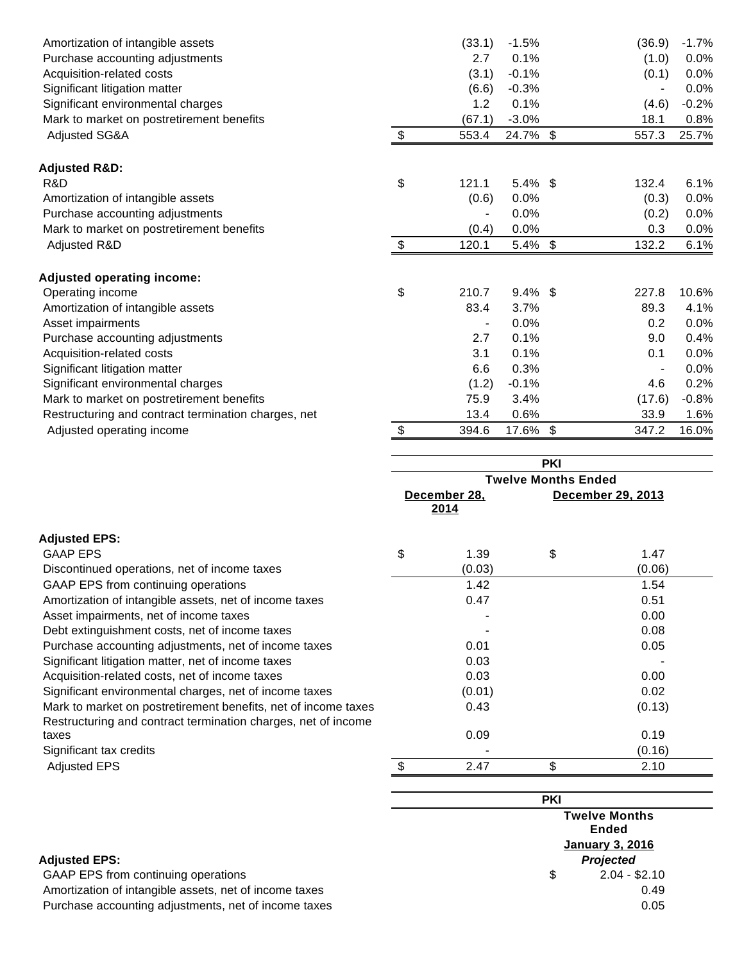| Amortization of intangible assets                   |                | (33.1) | $-1.5%$    | (36.9) | $-1.7\%$ |
|-----------------------------------------------------|----------------|--------|------------|--------|----------|
| Purchase accounting adjustments                     |                | 2.7    | 0.1%       | (1.0)  | $0.0\%$  |
| Acquisition-related costs                           |                | (3.1)  | $-0.1%$    | (0.1)  | 0.0%     |
| Significant litigation matter                       |                | (6.6)  | $-0.3%$    |        | 0.0%     |
| Significant environmental charges                   |                | 1.2    | 0.1%       | (4.6)  | $-0.2%$  |
| Mark to market on postretirement benefits           |                | (67.1) | $-3.0%$    | 18.1   | 0.8%     |
| Adjusted SG&A                                       | $\mathfrak{S}$ | 553.4  | 24.7% \$   | 557.3  | 25.7%    |
| <b>Adjusted R&amp;D:</b>                            |                |        |            |        |          |
| R&D                                                 | \$             | 121.1  | $5.4\%$ \$ | 132.4  | 6.1%     |
| Amortization of intangible assets                   |                | (0.6)  | 0.0%       | (0.3)  | $0.0\%$  |
| Purchase accounting adjustments                     |                |        | 0.0%       | (0.2)  | 0.0%     |
| Mark to market on postretirement benefits           |                | (0.4)  | 0.0%       | 0.3    | 0.0%     |
| Adjusted R&D                                        | $\$\$          | 120.1  | $5.4\%$ \$ | 132.2  | 6.1%     |
| <b>Adjusted operating income:</b>                   |                |        |            |        |          |
| Operating income                                    | \$             | 210.7  | $9.4\%$ \$ | 227.8  | 10.6%    |
| Amortization of intangible assets                   |                | 83.4   | 3.7%       | 89.3   | 4.1%     |
| Asset impairments                                   |                |        | 0.0%       | 0.2    | 0.0%     |
| Purchase accounting adjustments                     |                | 2.7    | 0.1%       | 9.0    | 0.4%     |
| Acquisition-related costs                           |                | 3.1    | 0.1%       | 0.1    | 0.0%     |
| Significant litigation matter                       |                | 6.6    | 0.3%       |        | $0.0\%$  |
| Significant environmental charges                   |                | (1.2)  | $-0.1%$    | 4.6    | 0.2%     |
| Mark to market on postretirement benefits           |                | 75.9   | 3.4%       | (17.6) | $-0.8%$  |
| Restructuring and contract termination charges, net |                | 13.4   | 0.6%       | 33.9   | 1.6%     |
| Adjusted operating income                           | \$             | 394.6  | 17.6% \$   | 347.2  | 16.0%    |

|                                                                | <b>PKI</b>                 |        |    |                   |
|----------------------------------------------------------------|----------------------------|--------|----|-------------------|
|                                                                | <b>Twelve Months Ended</b> |        |    |                   |
|                                                                | December 28,<br>2014       |        |    | December 29, 2013 |
| <b>Adjusted EPS:</b>                                           |                            |        |    |                   |
| <b>GAAP EPS</b>                                                | \$                         | 1.39   | \$ | 1.47              |
| Discontinued operations, net of income taxes                   |                            | (0.03) |    | (0.06)            |
| GAAP EPS from continuing operations                            |                            | 1.42   |    | 1.54              |
| Amortization of intangible assets, net of income taxes         |                            | 0.47   |    | 0.51              |
| Asset impairments, net of income taxes                         |                            |        |    | 0.00              |
| Debt extinguishment costs, net of income taxes                 |                            |        |    | 0.08              |
| Purchase accounting adjustments, net of income taxes           |                            | 0.01   |    | 0.05              |
| Significant litigation matter, net of income taxes             |                            | 0.03   |    |                   |
| Acquisition-related costs, net of income taxes                 |                            | 0.03   |    | 0.00              |
| Significant environmental charges, net of income taxes         |                            | (0.01) |    | 0.02              |
| Mark to market on postretirement benefits, net of income taxes |                            | 0.43   |    | (0.13)            |
| Restructuring and contract termination charges, net of income  |                            |        |    |                   |
| taxes                                                          |                            | 0.09   |    | 0.19              |
| Significant tax credits                                        |                            |        |    | (0.16)            |
| <b>Adjusted EPS</b>                                            |                            | 2.47   |    | 2.10              |
|                                                                |                            |        |    |                   |

|                                                        | <b>PKI</b> |                               |
|--------------------------------------------------------|------------|-------------------------------|
|                                                        |            | <b>Twelve Months</b><br>Ended |
|                                                        |            | January 3, 2016               |
| <b>Adjusted EPS:</b>                                   |            | Projected                     |
| GAAP EPS from continuing operations                    | \$.        | $2.04 - $2.10$                |
| Amortization of intangible assets, net of income taxes |            | 0.49                          |
| Purchase accounting adjustments, net of income taxes   |            | 0.05                          |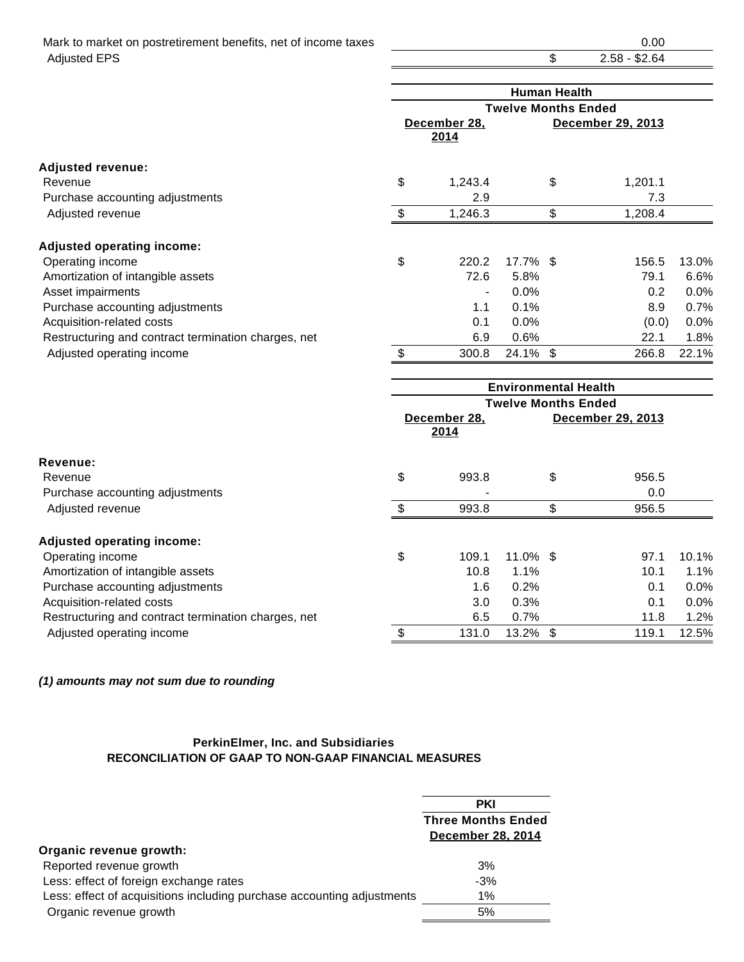Mark to market on postretirement benefits, net of income taxes Adjusted EPS 32.64

| ٠<br>۰, | ٠<br>۰, | ٠<br>۰, |
|---------|---------|---------|
|         |         |         |

|                                                     | <b>Human Health</b> |                            |                             |                |                   |       |
|-----------------------------------------------------|---------------------|----------------------------|-----------------------------|----------------|-------------------|-------|
|                                                     |                     | <b>Twelve Months Ended</b> |                             |                |                   |       |
|                                                     |                     | December 28,<br>2014       |                             |                | December 29, 2013 |       |
| <b>Adjusted revenue:</b>                            |                     |                            |                             |                |                   |       |
| Revenue                                             | \$                  | 1,243.4                    |                             | \$             | 1,201.1           |       |
| Purchase accounting adjustments                     |                     | 2.9                        |                             |                | 7.3               |       |
| Adjusted revenue                                    | \$                  | 1,246.3                    |                             | \$             | 1,208.4           |       |
| <b>Adjusted operating income:</b>                   |                     |                            |                             |                |                   |       |
| Operating income                                    | \$                  | 220.2                      | 17.7% \$                    |                | 156.5             | 13.0% |
| Amortization of intangible assets                   |                     | 72.6                       | 5.8%                        |                | 79.1              | 6.6%  |
| Asset impairments                                   |                     | $\overline{\phantom{a}}$   | 0.0%                        |                | 0.2               | 0.0%  |
| Purchase accounting adjustments                     |                     | 1.1                        | 0.1%                        |                | 8.9               | 0.7%  |
| Acquisition-related costs                           |                     | 0.1                        | 0.0%                        |                | (0.0)             | 0.0%  |
| Restructuring and contract termination charges, net |                     | 6.9                        | 0.6%                        |                | 22.1              | 1.8%  |
| Adjusted operating income                           | $\mathfrak{S}$      | 300.8                      | 24.1% \$                    |                | 266.8             | 22.1% |
|                                                     |                     |                            | <b>Environmental Health</b> |                |                   |       |
|                                                     |                     |                            | <b>Twelve Months Ended</b>  |                |                   |       |
|                                                     |                     | December 28,               |                             |                | December 29, 2013 |       |
|                                                     |                     | 2014                       |                             |                |                   |       |
| Revenue:                                            |                     |                            |                             |                |                   |       |
| Revenue                                             | \$                  | 993.8                      |                             | \$             | 956.5             |       |
| Purchase accounting adjustments                     |                     |                            |                             |                | 0.0               |       |
| Adjusted revenue                                    | \$                  | 993.8                      |                             | \$             | 956.5             |       |
| <b>Adjusted operating income:</b>                   |                     |                            |                             |                |                   |       |
| Operating income                                    | \$                  | 109.1                      | 11.0% \$                    |                | 97.1              | 10.1% |
| Amortization of intangible assets                   |                     | 10.8                       | 1.1%                        |                | 10.1              | 1.1%  |
| Purchase accounting adjustments                     |                     | 1.6                        | 0.2%                        |                | 0.1               | 0.0%  |
| Acquisition-related costs                           |                     | 3.0                        | 0.3%                        |                | 0.1               | 0.0%  |
| Restructuring and contract termination charges, net |                     | 6.5                        | 0.7%                        |                | 11.8              | 1.2%  |
| Adjusted operating income                           | \$                  | 131.0                      | 13.2%                       | $\mathfrak{F}$ | 119.1             | 12.5% |

**(1) amounts may not sum due to rounding**

## **PerkinElmer, Inc. and Subsidiaries RECONCILIATION OF GAAP TO NON-GAAP FINANCIAL MEASURES**

|                                                                        | <b>PKI</b>                                            |
|------------------------------------------------------------------------|-------------------------------------------------------|
|                                                                        | <b>Three Months Ended</b><br><b>December 28, 2014</b> |
| Organic revenue growth:                                                |                                                       |
| Reported revenue growth                                                | 3%                                                    |
| Less: effect of foreign exchange rates                                 | $-3%$                                                 |
| Less: effect of acquisitions including purchase accounting adjustments | $1\%$                                                 |
| Organic revenue growth                                                 | 5%                                                    |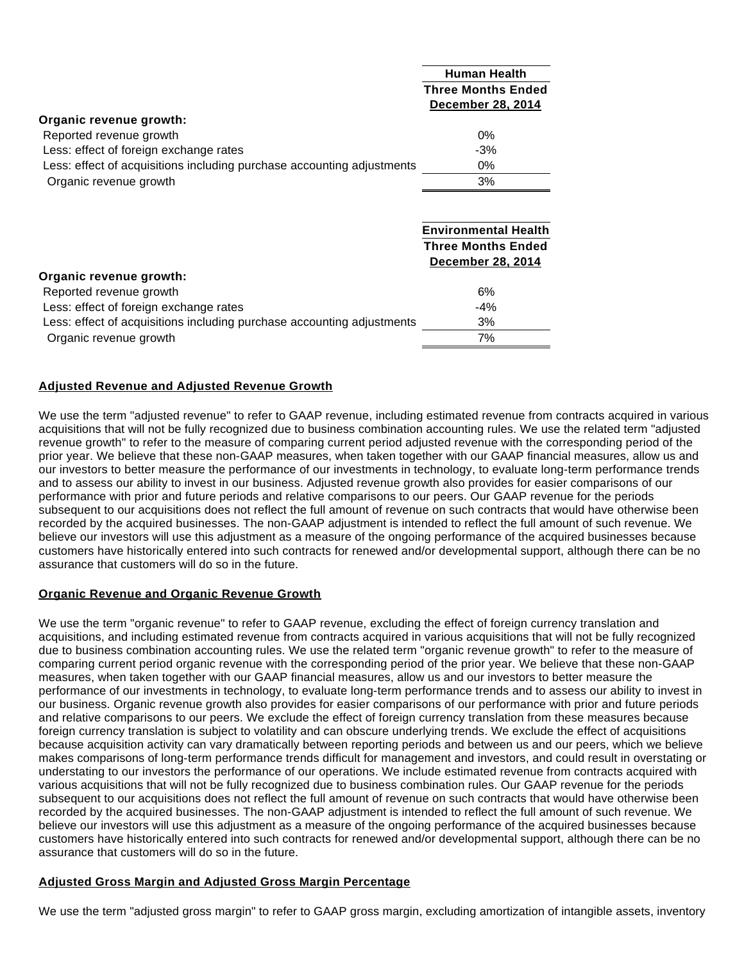|                                                                        | <b>Human Health</b>       |
|------------------------------------------------------------------------|---------------------------|
|                                                                        | <b>Three Months Ended</b> |
|                                                                        | <b>December 28, 2014</b>  |
| Organic revenue growth:                                                |                           |
| Reported revenue growth                                                | $0\%$                     |
| Less: effect of foreign exchange rates                                 | $-3%$                     |
| Less: effect of acquisitions including purchase accounting adjustments | $0\%$                     |
| Organic revenue growth                                                 | 3%                        |

|                                                                        | <b>Environmental Health</b> |
|------------------------------------------------------------------------|-----------------------------|
|                                                                        | <b>Three Months Ended</b>   |
| Organic revenue growth:                                                | <b>December 28, 2014</b>    |
| Reported revenue growth                                                | 6%                          |
| Less: effect of foreign exchange rates                                 | $-4%$                       |
| Less: effect of acquisitions including purchase accounting adjustments | 3%                          |
| Organic revenue growth                                                 | 7%                          |

## **Adjusted Revenue and Adjusted Revenue Growth**

We use the term "adjusted revenue" to refer to GAAP revenue, including estimated revenue from contracts acquired in various acquisitions that will not be fully recognized due to business combination accounting rules. We use the related term "adjusted" revenue growth" to refer to the measure of comparing current period adjusted revenue with the corresponding period of the prior year. We believe that these non-GAAP measures, when taken together with our GAAP financial measures, allow us and our investors to better measure the performance of our investments in technology, to evaluate long-term performance trends and to assess our ability to invest in our business. Adjusted revenue growth also provides for easier comparisons of our performance with prior and future periods and relative comparisons to our peers. Our GAAP revenue for the periods subsequent to our acquisitions does not reflect the full amount of revenue on such contracts that would have otherwise been recorded by the acquired businesses. The non-GAAP adjustment is intended to reflect the full amount of such revenue. We believe our investors will use this adjustment as a measure of the ongoing performance of the acquired businesses because customers have historically entered into such contracts for renewed and/or developmental support, although there can be no assurance that customers will do so in the future.

### **Organic Revenue and Organic Revenue Growth**

We use the term "organic revenue" to refer to GAAP revenue, excluding the effect of foreign currency translation and acquisitions, and including estimated revenue from contracts acquired in various acquisitions that will not be fully recognized due to business combination accounting rules. We use the related term "organic revenue growth" to refer to the measure of comparing current period organic revenue with the corresponding period of the prior year. We believe that these non-GAAP measures, when taken together with our GAAP financial measures, allow us and our investors to better measure the performance of our investments in technology, to evaluate long-term performance trends and to assess our ability to invest in our business. Organic revenue growth also provides for easier comparisons of our performance with prior and future periods and relative comparisons to our peers. We exclude the effect of foreign currency translation from these measures because foreign currency translation is subject to volatility and can obscure underlying trends. We exclude the effect of acquisitions because acquisition activity can vary dramatically between reporting periods and between us and our peers, which we believe makes comparisons of long-term performance trends difficult for management and investors, and could result in overstating or understating to our investors the performance of our operations. We include estimated revenue from contracts acquired with various acquisitions that will not be fully recognized due to business combination rules. Our GAAP revenue for the periods subsequent to our acquisitions does not reflect the full amount of revenue on such contracts that would have otherwise been recorded by the acquired businesses. The non-GAAP adjustment is intended to reflect the full amount of such revenue. We believe our investors will use this adjustment as a measure of the ongoing performance of the acquired businesses because customers have historically entered into such contracts for renewed and/or developmental support, although there can be no assurance that customers will do so in the future.

### **Adjusted Gross Margin and Adjusted Gross Margin Percentage**

We use the term "adjusted gross margin" to refer to GAAP gross margin, excluding amortization of intangible assets, inventory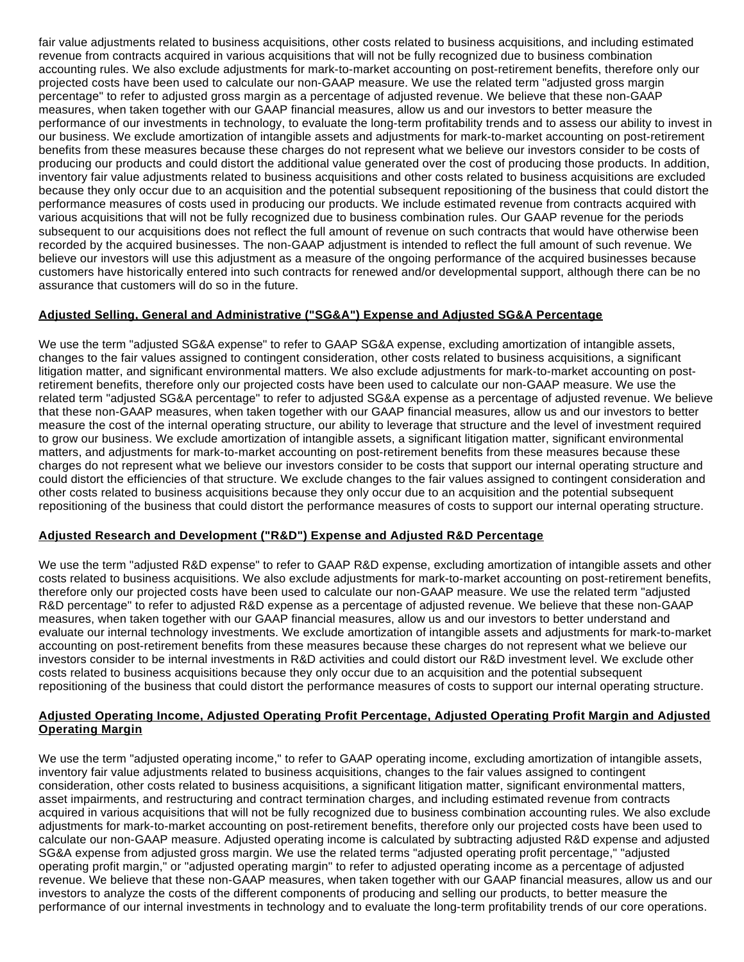fair value adjustments related to business acquisitions, other costs related to business acquisitions, and including estimated revenue from contracts acquired in various acquisitions that will not be fully recognized due to business combination accounting rules. We also exclude adjustments for mark-to-market accounting on post-retirement benefits, therefore only our projected costs have been used to calculate our non-GAAP measure. We use the related term "adjusted gross margin percentage" to refer to adjusted gross margin as a percentage of adjusted revenue. We believe that these non-GAAP measures, when taken together with our GAAP financial measures, allow us and our investors to better measure the performance of our investments in technology, to evaluate the long-term profitability trends and to assess our ability to invest in our business. We exclude amortization of intangible assets and adjustments for mark-to-market accounting on post-retirement benefits from these measures because these charges do not represent what we believe our investors consider to be costs of producing our products and could distort the additional value generated over the cost of producing those products. In addition, inventory fair value adjustments related to business acquisitions and other costs related to business acquisitions are excluded because they only occur due to an acquisition and the potential subsequent repositioning of the business that could distort the performance measures of costs used in producing our products. We include estimated revenue from contracts acquired with various acquisitions that will not be fully recognized due to business combination rules. Our GAAP revenue for the periods subsequent to our acquisitions does not reflect the full amount of revenue on such contracts that would have otherwise been recorded by the acquired businesses. The non-GAAP adjustment is intended to reflect the full amount of such revenue. We believe our investors will use this adjustment as a measure of the ongoing performance of the acquired businesses because customers have historically entered into such contracts for renewed and/or developmental support, although there can be no assurance that customers will do so in the future.

## **Adjusted Selling, General and Administrative ("SG&A") Expense and Adjusted SG&A Percentage**

We use the term "adjusted SG&A expense" to refer to GAAP SG&A expense, excluding amortization of intangible assets, changes to the fair values assigned to contingent consideration, other costs related to business acquisitions, a significant litigation matter, and significant environmental matters. We also exclude adjustments for mark-to-market accounting on postretirement benefits, therefore only our projected costs have been used to calculate our non-GAAP measure. We use the related term "adjusted SG&A percentage" to refer to adjusted SG&A expense as a percentage of adjusted revenue. We believe that these non-GAAP measures, when taken together with our GAAP financial measures, allow us and our investors to better measure the cost of the internal operating structure, our ability to leverage that structure and the level of investment required to grow our business. We exclude amortization of intangible assets, a significant litigation matter, significant environmental matters, and adjustments for mark-to-market accounting on post-retirement benefits from these measures because these charges do not represent what we believe our investors consider to be costs that support our internal operating structure and could distort the efficiencies of that structure. We exclude changes to the fair values assigned to contingent consideration and other costs related to business acquisitions because they only occur due to an acquisition and the potential subsequent repositioning of the business that could distort the performance measures of costs to support our internal operating structure.

## **Adjusted Research and Development ("R&D") Expense and Adjusted R&D Percentage**

We use the term "adjusted R&D expense" to refer to GAAP R&D expense, excluding amortization of intangible assets and other costs related to business acquisitions. We also exclude adjustments for mark-to-market accounting on post-retirement benefits, therefore only our projected costs have been used to calculate our non-GAAP measure. We use the related term "adjusted R&D percentage" to refer to adjusted R&D expense as a percentage of adjusted revenue. We believe that these non-GAAP measures, when taken together with our GAAP financial measures, allow us and our investors to better understand and evaluate our internal technology investments. We exclude amortization of intangible assets and adjustments for mark-to-market accounting on post-retirement benefits from these measures because these charges do not represent what we believe our investors consider to be internal investments in R&D activities and could distort our R&D investment level. We exclude other costs related to business acquisitions because they only occur due to an acquisition and the potential subsequent repositioning of the business that could distort the performance measures of costs to support our internal operating structure.

## **Adjusted Operating Income, Adjusted Operating Profit Percentage, Adjusted Operating Profit Margin and Adjusted Operating Margin**

We use the term "adjusted operating income," to refer to GAAP operating income, excluding amortization of intangible assets, inventory fair value adjustments related to business acquisitions, changes to the fair values assigned to contingent consideration, other costs related to business acquisitions, a significant litigation matter, significant environmental matters, asset impairments, and restructuring and contract termination charges, and including estimated revenue from contracts acquired in various acquisitions that will not be fully recognized due to business combination accounting rules. We also exclude adjustments for mark-to-market accounting on post-retirement benefits, therefore only our projected costs have been used to calculate our non-GAAP measure. Adjusted operating income is calculated by subtracting adjusted R&D expense and adjusted SG&A expense from adjusted gross margin. We use the related terms "adjusted operating profit percentage," "adjusted operating profit margin," or "adjusted operating margin" to refer to adjusted operating income as a percentage of adjusted revenue. We believe that these non-GAAP measures, when taken together with our GAAP financial measures, allow us and our investors to analyze the costs of the different components of producing and selling our products, to better measure the performance of our internal investments in technology and to evaluate the long-term profitability trends of our core operations.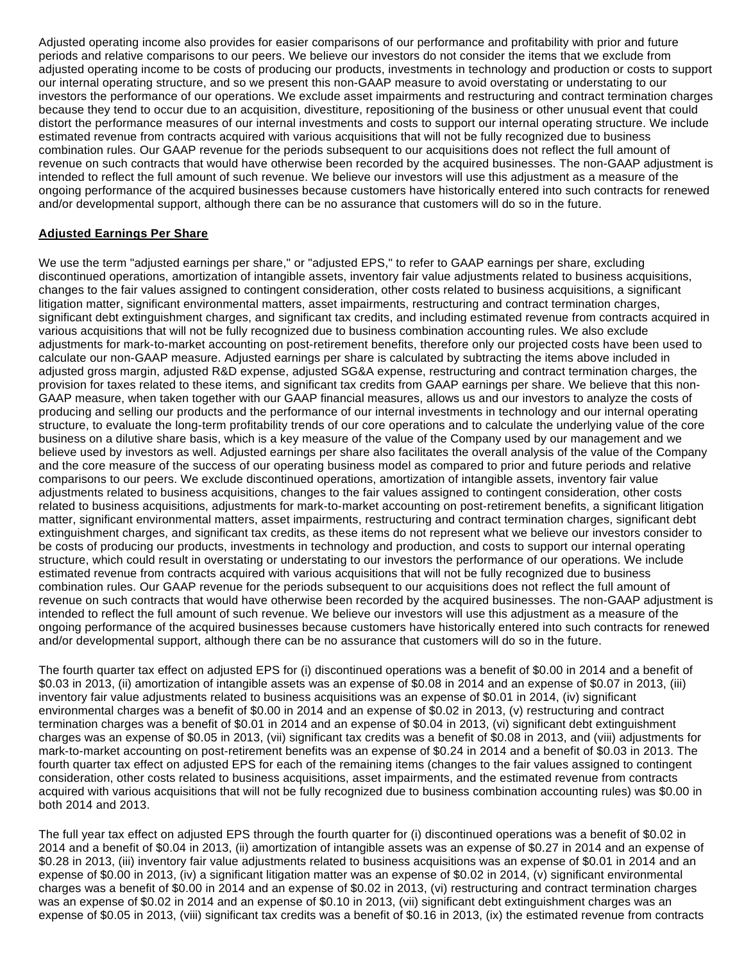Adjusted operating income also provides for easier comparisons of our performance and profitability with prior and future periods and relative comparisons to our peers. We believe our investors do not consider the items that we exclude from adjusted operating income to be costs of producing our products, investments in technology and production or costs to support our internal operating structure, and so we present this non-GAAP measure to avoid overstating or understating to our investors the performance of our operations. We exclude asset impairments and restructuring and contract termination charges because they tend to occur due to an acquisition, divestiture, repositioning of the business or other unusual event that could distort the performance measures of our internal investments and costs to support our internal operating structure. We include estimated revenue from contracts acquired with various acquisitions that will not be fully recognized due to business combination rules. Our GAAP revenue for the periods subsequent to our acquisitions does not reflect the full amount of revenue on such contracts that would have otherwise been recorded by the acquired businesses. The non-GAAP adjustment is intended to reflect the full amount of such revenue. We believe our investors will use this adjustment as a measure of the ongoing performance of the acquired businesses because customers have historically entered into such contracts for renewed and/or developmental support, although there can be no assurance that customers will do so in the future.

## **Adjusted Earnings Per Share**

We use the term "adjusted earnings per share," or "adjusted EPS," to refer to GAAP earnings per share, excluding discontinued operations, amortization of intangible assets, inventory fair value adjustments related to business acquisitions, changes to the fair values assigned to contingent consideration, other costs related to business acquisitions, a significant litigation matter, significant environmental matters, asset impairments, restructuring and contract termination charges, significant debt extinguishment charges, and significant tax credits, and including estimated revenue from contracts acquired in various acquisitions that will not be fully recognized due to business combination accounting rules. We also exclude adjustments for mark-to-market accounting on post-retirement benefits, therefore only our projected costs have been used to calculate our non-GAAP measure. Adjusted earnings per share is calculated by subtracting the items above included in adjusted gross margin, adjusted R&D expense, adjusted SG&A expense, restructuring and contract termination charges, the provision for taxes related to these items, and significant tax credits from GAAP earnings per share. We believe that this non-GAAP measure, when taken together with our GAAP financial measures, allows us and our investors to analyze the costs of producing and selling our products and the performance of our internal investments in technology and our internal operating structure, to evaluate the long-term profitability trends of our core operations and to calculate the underlying value of the core business on a dilutive share basis, which is a key measure of the value of the Company used by our management and we believe used by investors as well. Adjusted earnings per share also facilitates the overall analysis of the value of the Company and the core measure of the success of our operating business model as compared to prior and future periods and relative comparisons to our peers. We exclude discontinued operations, amortization of intangible assets, inventory fair value adjustments related to business acquisitions, changes to the fair values assigned to contingent consideration, other costs related to business acquisitions, adjustments for mark-to-market accounting on post-retirement benefits, a significant litigation matter, significant environmental matters, asset impairments, restructuring and contract termination charges, significant debt extinguishment charges, and significant tax credits, as these items do not represent what we believe our investors consider to be costs of producing our products, investments in technology and production, and costs to support our internal operating structure, which could result in overstating or understating to our investors the performance of our operations. We include estimated revenue from contracts acquired with various acquisitions that will not be fully recognized due to business combination rules. Our GAAP revenue for the periods subsequent to our acquisitions does not reflect the full amount of revenue on such contracts that would have otherwise been recorded by the acquired businesses. The non-GAAP adjustment is intended to reflect the full amount of such revenue. We believe our investors will use this adjustment as a measure of the ongoing performance of the acquired businesses because customers have historically entered into such contracts for renewed and/or developmental support, although there can be no assurance that customers will do so in the future.

The fourth quarter tax effect on adjusted EPS for (i) discontinued operations was a benefit of \$0.00 in 2014 and a benefit of \$0.03 in 2013, (ii) amortization of intangible assets was an expense of \$0.08 in 2014 and an expense of \$0.07 in 2013, (iii) inventory fair value adjustments related to business acquisitions was an expense of \$0.01 in 2014, (iv) significant environmental charges was a benefit of \$0.00 in 2014 and an expense of \$0.02 in 2013, (v) restructuring and contract termination charges was a benefit of \$0.01 in 2014 and an expense of \$0.04 in 2013, (vi) significant debt extinguishment charges was an expense of \$0.05 in 2013, (vii) significant tax credits was a benefit of \$0.08 in 2013, and (viii) adjustments for mark-to-market accounting on post-retirement benefits was an expense of \$0.24 in 2014 and a benefit of \$0.03 in 2013. The fourth quarter tax effect on adjusted EPS for each of the remaining items (changes to the fair values assigned to contingent consideration, other costs related to business acquisitions, asset impairments, and the estimated revenue from contracts acquired with various acquisitions that will not be fully recognized due to business combination accounting rules) was \$0.00 in both 2014 and 2013.

The full year tax effect on adjusted EPS through the fourth quarter for (i) discontinued operations was a benefit of \$0.02 in 2014 and a benefit of \$0.04 in 2013, (ii) amortization of intangible assets was an expense of \$0.27 in 2014 and an expense of \$0.28 in 2013, (iii) inventory fair value adjustments related to business acquisitions was an expense of \$0.01 in 2014 and an expense of \$0.00 in 2013, (iv) a significant litigation matter was an expense of \$0.02 in 2014, (v) significant environmental charges was a benefit of \$0.00 in 2014 and an expense of \$0.02 in 2013, (vi) restructuring and contract termination charges was an expense of \$0.02 in 2014 and an expense of \$0.10 in 2013, (vii) significant debt extinguishment charges was an expense of \$0.05 in 2013, (viii) significant tax credits was a benefit of \$0.16 in 2013, (ix) the estimated revenue from contracts